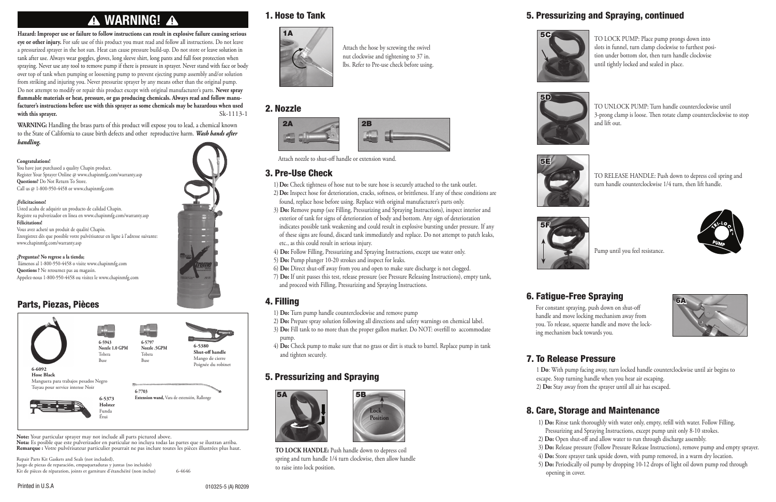# **A WARNING! A**

**Hazard: Improper use or failure to follow instructions can result in explosive failure causing serious eye or other injury.** For safe use of this product you must read and follow all instructions. Do not leave a pressurized sprayer in the hot sun. Heat can cause pressure build-up. Do not store or leave solution in tank after use. Always wear goggles, gloves, long sleeve shirt, long pants and full foot protection when spraying. Never use any tool to remove pump if there is pressure in sprayer. Never stand with face or body over top of tank when pumping or loosening pump to prevent ejecting pump assembly and/or solution from striking and injuring you. Never pressurize sprayer by any means other than the original pump. Do not attempt to modify or repair this product except with original manufacturer's parts. **Never spray flammable materials or heat, pressure, or gas producing chemicals. Always read and follow manufacturer's instructions before use with this sprayer as some chemicals may be hazardous when used with this sprayer.** Sk-1113-1

Juego de piezas de reparación, empaquetaduras y juntas (no incluido) Kit de pièces de réparation, joints et garniture d'étanchéité (non inclus) 6-4646

**WARNING:** Handling the brass parts of this product will expose you to lead, a chemical known to the State of California to cause birth defects and other reproductive harm. *Wash hands after handling.*



#### Parts, Piezas, Pièces



You have just purchased a quality Chapin product. Register Your Sprayer Online @ www.chapinmfg.com/warranty.asp **Questions?** Do Not Return To Store. Call us @ 1-800-950-4458 or www.chapinmfg.com

#### **¡Felicitaciones!**

Usted acaba de adquirir un producto de calidad Chapin. Registre su pulverizador en línea en www.chapinmfg.com/warranty.asp **Félicitations!**  Vous avez acheté un produit de qualité Chapin. Enregistrez dès que possible votre pulvérisateur en ligne à l'adresse suivante: www.chapinmfg.com/warranty.asp

#### **¿Preguntas? No regrese a la tienda;**

 llámenos al 1-800-950-4458 o visite www.chapinmfg.com **Questions ?** Ne retournez pas au magasin. Appelez-nous 1-800-950-4458 ou visitez le www.chapinmfg.com

Repair Parts Kit Gaskets and Seals (not included),

**Note:** Your particular sprayer may not include all parts pictured above.

**Nota:** Es posible que este pulverizador en particular no incluya todas las partes que se ilustran arriba. **Remarque :** Votre pulvérisateur particulier pourrait ne pas inclure toutes les pièces illustrées plus haut.

- 1)**Do:** Check tightness of hose nut to be sure hose is securely attached to the tank outlet. 2)**Do:** Inspect hose for deterioration, cracks, softness, or brittleness. If any of these conditions are
- found, replace hose before using. Replace with original manufacturer's parts only. 3) **Do:** Remove pump (see Filling, Pressurizing and Spraying Instructions), inspect interior and exterior of tank for signs of deterioration of body and bottom. Any sign of deterioration
- indicates possible tank weakening and could result in explosive bursting under pressure. If any of these signs are found, discard tank immediately and replace. Do not attempt to patch leaks, etc., as this could result in serious injury.
- 4) **Do:** Follow Filling, Pressurizing and Spraying Instructions, except use water only.
- 5) **Do:** Pump plunger 10-20 strokes and inspect for leaks.
- 6) **Do:** Direct shut-off away from you and open to make sure discharge is not clogged.
- 7) **Do:** If unit passes this test, release pressure (see Pressure Releasing Instructions), empty tank, and proceed with Filling, Pressurizing and Spraying Instructions.



#### 3. Pre-Use Check

#### 4. Filling

- 1) **Do:** Turn pump handle counterclockwise and remove pump
- 2) **Do:** Prepare spray solution following all directions and safety warnings on chemical label. 3) **Do:** Fill tank to no more than the proper gallon marker. Do NOT: overfill to accommodate pump.
- 4) **Do:** Check pump to make sure that no grass or dirt is stuck to barrel. Replace pump in tank and tighten securely.

### 8. Care, Storage and Maintenance

- 
- 
- 
- 
- 
- 5) **Do:** Periodically oil pump by dropping 10-12 drops of light oil down pump rod through opening in cover.
- 

1. Hose to Tank

#### 2. Nozzle

Attach the hose by screwing the swivel nut clockwise and tightening to 37 in. lbs. Refer to Pre-use check before using.

Attach nozzle to shut-off handle or extension wand.

**TO LOCK HANDLE:** Push handle down to depress coil spring and turn handle 1/4 turn clockwise, then allow handle to raise into lock position.

#### 5. Pressurizing and Spraying

**Lock Position**



TO RELEASE HANDLE: Push down to depress coil spring and turn handle counterclockwise 1/4 turn, then lift handle.



- 1 **Do**: With pump facing away, turn locked handle counterclockwise until air begins to escape. Stop turning handle when you hear air escaping.
- 2) **Do:** Stay away from the sprayer until all air has escaped.
- 1) **Do:** Rinse tank thoroughly with water only, empty, refill with water. Follow Filling,
- Pressurizing and Spraying Instructions, except pump unit only 8-10 strokes.
- 2) **Do:** Open shut-off and allow water to run through discharge assembly.
- 3) **Do:** Release pressure (Follow Pressure Release Instructions), remove pump and empty sprayer.
- 4) **Do:** Store sprayer tank upside down, with pump removed, in a warm dry location.

Pump until you feel resistance.



TO LOCK PUMP: Place pump prongs down into slots in funnel, turn clamp clockwise to furthest position under bottom slot, then turn handle clockwise until tightly locked and sealed in place.



TO UNLOCK PUMP: Turn handle counterclockwise until 3-prong clamp is loose. Then rotate clamp counterclockwise to stop and lift out.







#### 5. Pressurizing and Spraying, continued











For constant spraying, push down on shut-off handle and move locking mechanism away from you. To release, squeeze handle and move the locking mechanism back towards you.

## 6. Fatigue-Free Spraying

#### 7. To Release Pressure